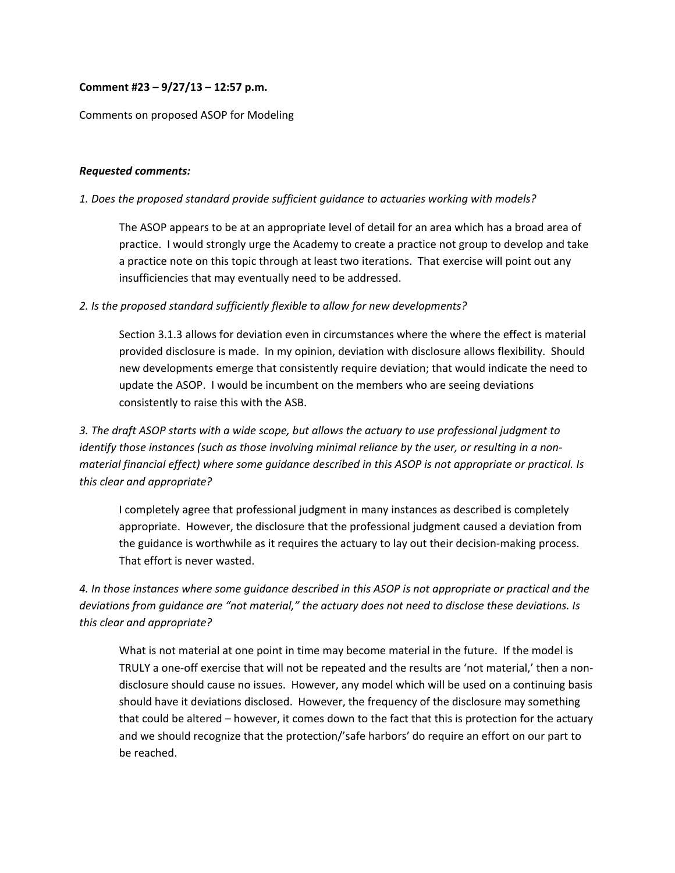## **Comment #23 – 9/27/13 – 12:57 p.m.**

#### Comments on proposed ASOP for Modeling

#### *Requested comments:*

#### *1. Does the proposed standard provide sufficient guidance to actuaries working with models?*

The ASOP appears to be at an appropriate level of detail for an area which has a broad area of practice. I would strongly urge the Academy to create a practice not group to develop and take a practice note on this topic through at least two iterations. That exercise will point out any insufficiencies that may eventually need to be addressed.

### *2. Is the proposed standard sufficiently flexible to allow for new developments?*

Section 3.1.3 allows for deviation even in circumstances where the where the effect is material provided disclosure is made. In my opinion, deviation with disclosure allows flexibility. Should new developments emerge that consistently require deviation; that would indicate the need to update the ASOP. I would be incumbent on the members who are seeing deviations consistently to raise this with the ASB.

*3. The draft ASOP starts with a wide scope, but allows the actuary to use professional judgment to* identify those instances (such as those involving minimal reliance by the user, or resulting in a non*material financial effect) where some guidance described in this ASOP is not appropriate or practical. Is this clear and appropriate?*

I completely agree that professional judgment in many instances as described is completely appropriate. However, the disclosure that the professional judgment caused a deviation from the guidance is worthwhile as it requires the actuary to lay out their decision-making process. That effort is never wasted.

4. In those instances where some quidance described in this ASOP is not appropriate or practical and the *deviations from guidance are "not material," the actuary does not need to disclose these deviations. Is this clear and appropriate?*

What is not material at one point in time may become material in the future. If the model is TRULY a one‐off exercise that will not be repeated and the results are 'not material,' then a non‐ disclosure should cause no issues. However, any model which will be used on a continuing basis should have it deviations disclosed. However, the frequency of the disclosure may something that could be altered – however, it comes down to the fact that this is protection for the actuary and we should recognize that the protection/'safe harbors' do require an effort on our part to be reached.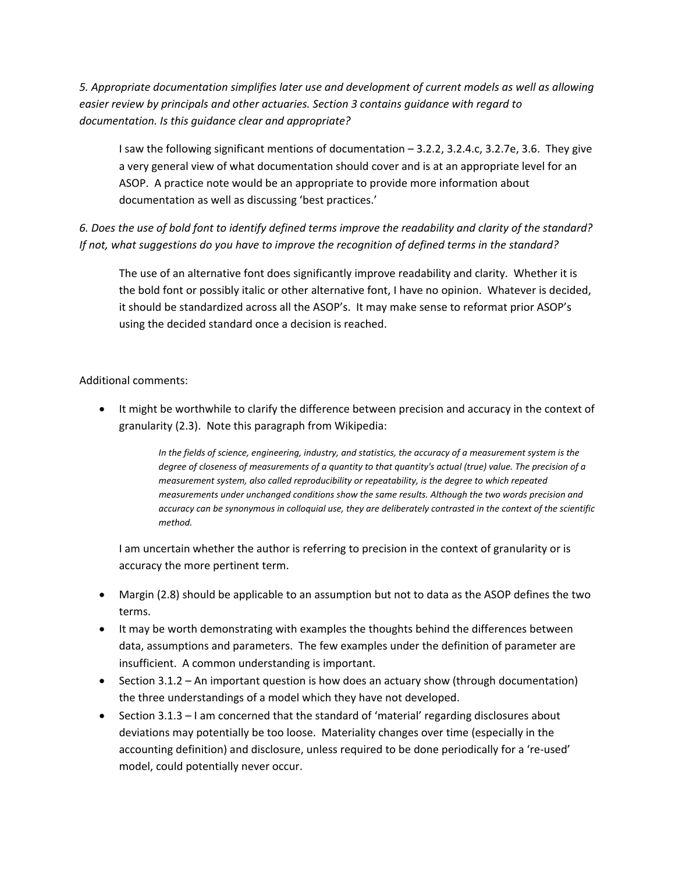*5. Appropriate documentation simplifies later use and development of current models as well as allowing easier review by principals and other actuaries. Section 3 contains guidance with regard to documentation. Is this guidance clear and appropriate?*

I saw the following significant mentions of documentation – 3.2.2, 3.2.4.c, 3.2.7e, 3.6. They give a very general view of what documentation should cover and is at an appropriate level for an ASOP. A practice note would be an appropriate to provide more information about documentation as well as discussing 'best practices.'

6. Does the use of bold font to identify defined terms improve the readability and clarity of the standard? *If not, what suggestions do you have to improve the recognition of defined terms in the standard?*

The use of an alternative font does significantly improve readability and clarity. Whether it is the bold font or possibly italic or other alternative font, I have no opinion. Whatever is decided, it should be standardized across all the ASOP's. It may make sense to reformat prior ASOP's using the decided standard once a decision is reached.

# Additional comments:

 It might be worthwhile to clarify the difference between precision and accuracy in the context of granularity (2.3). Note this paragraph from Wikipedia:

> In the fields of science, engineering, industry, and statistics, the accuracy of a measurement system is the degree of closeness of measurements of a quantity to that quantity's actual (true) value. The precision of a *measurement system, also called reproducibility or repeatability, is the degree to which repeated measurements under unchanged conditions show the same results. Although the two words precision and* accuracy can be synonymous in colloquial use, they are deliberately contrasted in the context of the scientific *method.*

I am uncertain whether the author is referring to precision in the context of granularity or is accuracy the more pertinent term.

- Margin (2.8) should be applicable to an assumption but not to data as the ASOP defines the two terms.
- It may be worth demonstrating with examples the thoughts behind the differences between data, assumptions and parameters. The few examples under the definition of parameter are insufficient. A common understanding is important.
- $\bullet$  Section 3.1.2 An important question is how does an actuary show (through documentation) the three understandings of a model which they have not developed.
- Section 3.1.3 I am concerned that the standard of 'material' regarding disclosures about deviations may potentially be too loose. Materiality changes over time (especially in the accounting definition) and disclosure, unless required to be done periodically for a 're‐used' model, could potentially never occur.